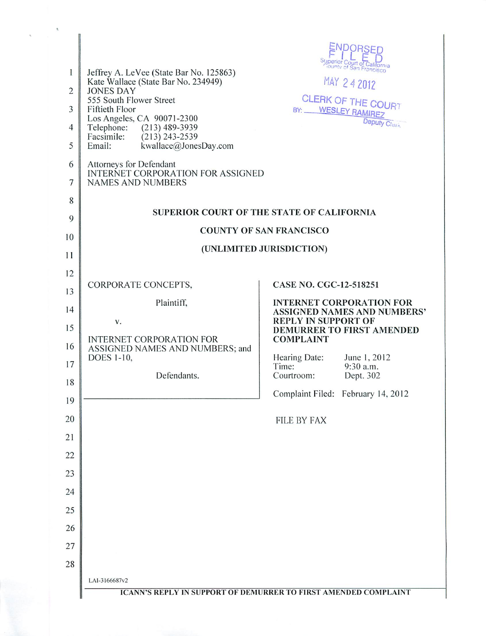| 1<br>$\overline{c}$<br>3<br>$\overline{4}$<br>5<br>6<br>7<br>8 | Jeffrey A. LeVee (State Bar No. 125863)<br>Kate Wallace (State Bar No. 234949)<br><b>JONES DAY</b><br>555 South Flower Street<br>Fiftieth Floor<br>Los Angeles, CA 90071-2300<br>Telephone: (213) 489-3939<br>Facsimile:<br>$(213)$ 243-2539<br>Email:<br>kwallace@JonesDay.com<br>Attorneys for Defendant<br><b>INTERNET CORPORATION FOR ASSIGNED</b><br><b>NAMES AND NUMBERS</b> | ENDORSED<br>Superior Court of California<br>MAY 24 2012<br>CLERK OF THE COURT<br>BY: WESLEY RAMIREZ<br>Deputy Cherk<br>SUPERIOR COURT OF THE STATE OF CALIFORNIA |  |
|----------------------------------------------------------------|------------------------------------------------------------------------------------------------------------------------------------------------------------------------------------------------------------------------------------------------------------------------------------------------------------------------------------------------------------------------------------|------------------------------------------------------------------------------------------------------------------------------------------------------------------|--|
| 9                                                              |                                                                                                                                                                                                                                                                                                                                                                                    | <b>COUNTY OF SAN FRANCISCO</b>                                                                                                                                   |  |
| 10                                                             |                                                                                                                                                                                                                                                                                                                                                                                    | (UNLIMITED JURISDICTION)                                                                                                                                         |  |
| 11                                                             |                                                                                                                                                                                                                                                                                                                                                                                    |                                                                                                                                                                  |  |
| 12                                                             | CORPORATE CONCEPTS,                                                                                                                                                                                                                                                                                                                                                                | CASE NO. CGC-12-518251                                                                                                                                           |  |
| 13                                                             | Plaintiff,                                                                                                                                                                                                                                                                                                                                                                         | <b>INTERNET CORPORATION FOR</b>                                                                                                                                  |  |
| 14<br>15                                                       | V.<br><b>INTERNET CORPORATION FOR</b>                                                                                                                                                                                                                                                                                                                                              | <b>ASSIGNED NAMES AND NUMBERS'</b><br><b>REPLY IN SUPPORT OF</b><br>DEMURRER TO FIRST AMENDED<br><b>COMPLAINT</b>                                                |  |
| 16                                                             | ASSIGNED NAMES AND NUMBERS; and<br>DOES 1-10,                                                                                                                                                                                                                                                                                                                                      | Hearing Date:<br>June 1, 2012                                                                                                                                    |  |
| 17                                                             | Defendants.                                                                                                                                                                                                                                                                                                                                                                        | Time:<br>9:30 a.m.<br>Courtroom:<br>Dept. 302                                                                                                                    |  |
| 18                                                             |                                                                                                                                                                                                                                                                                                                                                                                    | Complaint Filed: February 14, 2012                                                                                                                               |  |
| 19                                                             |                                                                                                                                                                                                                                                                                                                                                                                    |                                                                                                                                                                  |  |
| 20<br>21                                                       |                                                                                                                                                                                                                                                                                                                                                                                    | <b>FILE BY FAX</b>                                                                                                                                               |  |
| 22                                                             |                                                                                                                                                                                                                                                                                                                                                                                    |                                                                                                                                                                  |  |
| 23                                                             |                                                                                                                                                                                                                                                                                                                                                                                    |                                                                                                                                                                  |  |
| 24                                                             |                                                                                                                                                                                                                                                                                                                                                                                    |                                                                                                                                                                  |  |
| 25                                                             |                                                                                                                                                                                                                                                                                                                                                                                    |                                                                                                                                                                  |  |
| 26                                                             |                                                                                                                                                                                                                                                                                                                                                                                    |                                                                                                                                                                  |  |
| 27                                                             |                                                                                                                                                                                                                                                                                                                                                                                    |                                                                                                                                                                  |  |
| 28                                                             |                                                                                                                                                                                                                                                                                                                                                                                    |                                                                                                                                                                  |  |
|                                                                | LAI-3166687v2                                                                                                                                                                                                                                                                                                                                                                      |                                                                                                                                                                  |  |
|                                                                |                                                                                                                                                                                                                                                                                                                                                                                    | <b>ICANN'S REPLY IN SUPPORT OF DEMURRER TO FIRST AMENDED COMPLAINT</b>                                                                                           |  |

 $\bar{t}$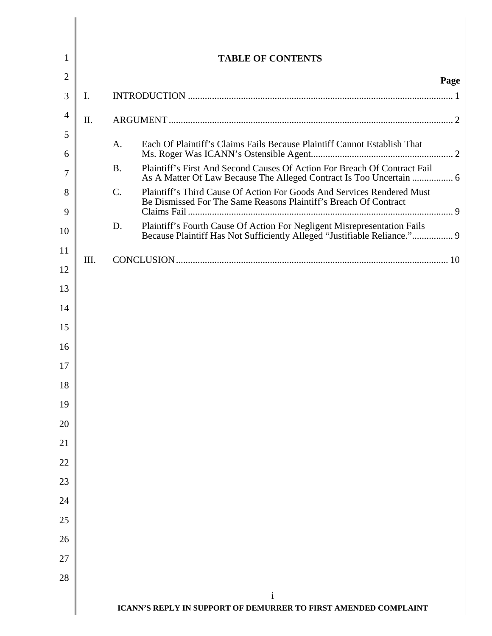| 1              |                |                 | <b>TABLE OF CONTENTS</b>                                                                                                                         |      |
|----------------|----------------|-----------------|--------------------------------------------------------------------------------------------------------------------------------------------------|------|
| $\overline{2}$ |                |                 |                                                                                                                                                  | Page |
| 3              | $\mathbf{I}$ . |                 |                                                                                                                                                  |      |
| $\overline{4}$ | II.            |                 |                                                                                                                                                  |      |
| 5              |                | $A_{\cdot}$     | Each Of Plaintiff's Claims Fails Because Plaintiff Cannot Establish That                                                                         |      |
| 6              |                |                 |                                                                                                                                                  |      |
| 7              |                | <b>B.</b>       | Plaintiff's First And Second Causes Of Action For Breach Of Contract Fail<br>As A Matter Of Law Because The Alleged Contract Is Too Uncertain  6 |      |
| 8              |                | $\mathcal{C}$ . | Plaintiff's Third Cause Of Action For Goods And Services Rendered Must<br>Be Dismissed For The Same Reasons Plaintiff's Breach Of Contract       |      |
| 9              |                | D.              | Plaintiff's Fourth Cause Of Action For Negligent Misrepresentation Fails                                                                         |      |
| 10             |                |                 | Because Plaintiff Has Not Sufficiently Alleged "Justifiable Reliance." 9                                                                         |      |
| 11<br>12       | III.           |                 |                                                                                                                                                  |      |
| 13             |                |                 |                                                                                                                                                  |      |
| 14             |                |                 |                                                                                                                                                  |      |
| 15             |                |                 |                                                                                                                                                  |      |
| 16             |                |                 |                                                                                                                                                  |      |
| 17             |                |                 |                                                                                                                                                  |      |
| 18             |                |                 |                                                                                                                                                  |      |
| 19             |                |                 |                                                                                                                                                  |      |
| 20             |                |                 |                                                                                                                                                  |      |
| 21             |                |                 |                                                                                                                                                  |      |
| 22             |                |                 |                                                                                                                                                  |      |
| 23             |                |                 |                                                                                                                                                  |      |
| 24             |                |                 |                                                                                                                                                  |      |
| 25             |                |                 |                                                                                                                                                  |      |
| 26             |                |                 |                                                                                                                                                  |      |
| 27             |                |                 |                                                                                                                                                  |      |
| 28             |                |                 |                                                                                                                                                  |      |
|                |                |                 | $\mathbf{i}$                                                                                                                                     |      |
|                |                |                 | <b>ICANN'S REPLY IN SUPPORT OF DEMURRER TO FIRST AMENDED COMPLAINT</b>                                                                           |      |

║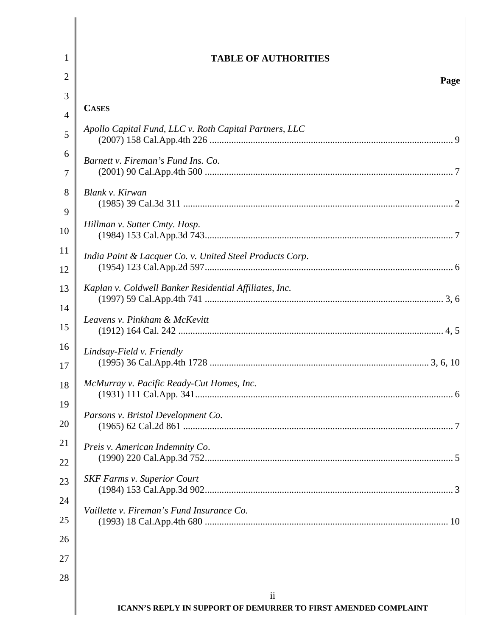| 1  |                                                          |
|----|----------------------------------------------------------|
|    | <b>TABLE OF AUTHORITIES</b>                              |
| 2  | Page                                                     |
| 3  | <b>CASES</b>                                             |
| 4  | Apollo Capital Fund, LLC v. Roth Capital Partners, LLC   |
| 5  |                                                          |
| 6  | Barnett v. Fireman's Fund Ins. Co.                       |
| 7  |                                                          |
| 8  | Blank v. Kirwan                                          |
| 9  |                                                          |
| 10 | Hillman v. Sutter Cmty. Hosp.                            |
| 11 | India Paint & Lacquer Co. v. United Steel Products Corp. |
| 12 |                                                          |
| 13 | Kaplan v. Coldwell Banker Residential Affiliates, Inc.   |
| 14 |                                                          |
| 15 | Leavens v. Pinkham & McKevitt                            |
| 16 | Lindsay-Field v. Friendly                                |
| 17 |                                                          |
| 18 | McMurray v. Pacific Ready-Cut Homes, Inc.                |
| 19 |                                                          |
| 20 | Parsons v. Bristol Development Co.                       |
| 21 | Preis v. American Indemnity Co.                          |
| 22 |                                                          |
| 23 | <b>SKF Farms v. Superior Court</b>                       |
| 24 |                                                          |
| 25 | Vaillette v. Fireman's Fund Insurance Co.                |
| 26 |                                                          |
| 27 |                                                          |
| 28 |                                                          |
|    | ii                                                       |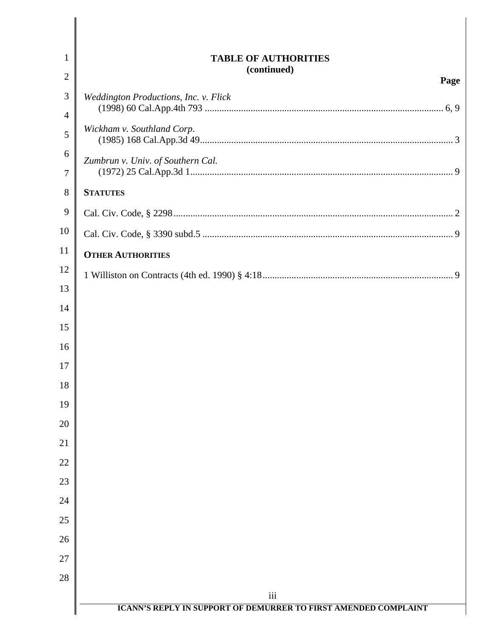| $\mathbf{1}$   | <b>TABLE OF AUTHORITIES</b>                                            |
|----------------|------------------------------------------------------------------------|
| $\overline{2}$ | (continued)<br>Page                                                    |
| 3              | Weddington Productions, Inc. v. Flick                                  |
| 4              |                                                                        |
| 5              | Wickham v. Southland Corp.                                             |
| 6<br>7         | Zumbrun v. Univ. of Southern Cal.                                      |
| 8              | <b>STATUTES</b>                                                        |
| 9              |                                                                        |
| 10             |                                                                        |
| 11             | <b>OTHER AUTHORITIES</b>                                               |
| 12             |                                                                        |
| 13             |                                                                        |
| 14             |                                                                        |
| 15             |                                                                        |
| 16             |                                                                        |
| 17             |                                                                        |
| 18             |                                                                        |
| 19             |                                                                        |
| 20             |                                                                        |
| 21             |                                                                        |
| 22             |                                                                        |
| 23<br>24       |                                                                        |
| 25             |                                                                        |
| 26             |                                                                        |
| 27             |                                                                        |
| 28             |                                                                        |
|                | iii                                                                    |
|                | <b>ICANN'S REPLY IN SUPPORT OF DEMURRER TO FIRST AMENDED COMPLAINT</b> |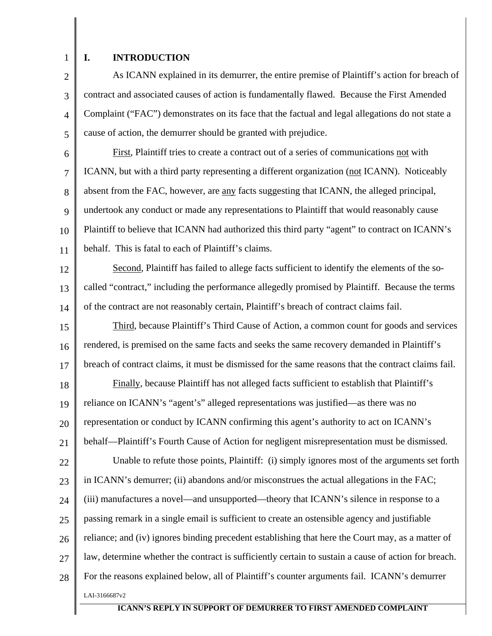1

2

3

4

5

## **I. INTRODUCTION**

As ICANN explained in its demurrer, the entire premise of Plaintiff's action for breach of contract and associated causes of action is fundamentally flawed. Because the First Amended Complaint ("FAC") demonstrates on its face that the factual and legal allegations do not state a cause of action, the demurrer should be granted with prejudice.

6 7 8 9 10 11 First, Plaintiff tries to create a contract out of a series of communications not with ICANN, but with a third party representing a different organization (not ICANN). Noticeably absent from the FAC, however, are <u>any</u> facts suggesting that ICANN, the alleged principal, undertook any conduct or made any representations to Plaintiff that would reasonably cause Plaintiff to believe that ICANN had authorized this third party "agent" to contract on ICANN's behalf. This is fatal to each of Plaintiff's claims.

12 13 14 Second, Plaintiff has failed to allege facts sufficient to identify the elements of the socalled "contract," including the performance allegedly promised by Plaintiff. Because the terms of the contract are not reasonably certain, Plaintiff's breach of contract claims fail.

15 16 17 18 19 20 21 22 23 24 25 26 27 28 LAI-3166687v2 Third, because Plaintiff's Third Cause of Action, a common count for goods and services rendered, is premised on the same facts and seeks the same recovery demanded in Plaintiff's breach of contract claims, it must be dismissed for the same reasons that the contract claims fail. Finally, because Plaintiff has not alleged facts sufficient to establish that Plaintiff's reliance on ICANN's "agent's" alleged representations was justified—as there was no representation or conduct by ICANN confirming this agent's authority to act on ICANN's behalf—Plaintiff's Fourth Cause of Action for negligent misrepresentation must be dismissed. Unable to refute those points, Plaintiff: (i) simply ignores most of the arguments set forth in ICANN's demurrer; (ii) abandons and/or misconstrues the actual allegations in the FAC; (iii) manufactures a novel—and unsupported—theory that ICANN's silence in response to a passing remark in a single email is sufficient to create an ostensible agency and justifiable reliance; and (iv) ignores binding precedent establishing that here the Court may, as a matter of law, determine whether the contract is sufficiently certain to sustain a cause of action for breach. For the reasons explained below, all of Plaintiff's counter arguments fail. ICANN's demurrer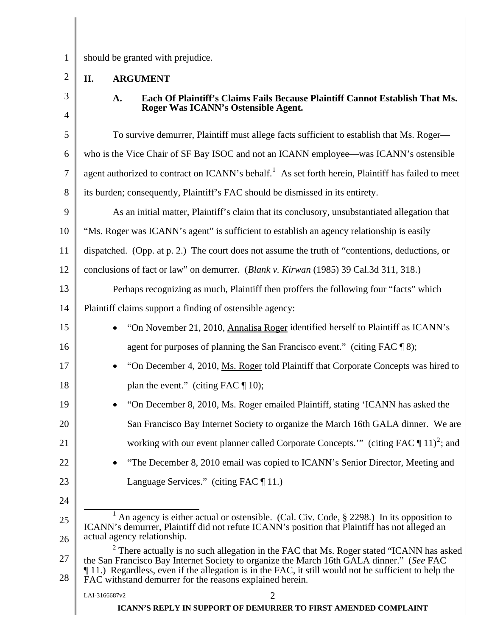<span id="page-5-0"></span>1 2

3

should be granted with prejudice.

# **II. ARGUMENT**

4 5 6 7 8 9 10 11 12 13 14 15 16 17 18 19 20 21 22 23 24 25 26 27 28 **Roger Was ICANN's Ostensible Agent.**  To survive demurrer, Plaintiff must allege facts sufficient to establish that Ms. Roger who is the Vice Chair of SF Bay ISOC and not an ICANN employee—was ICANN's ostensible agent authorized to contract on ICANN's behalf.<sup>[1](#page-5-1)</sup> As set forth herein, Plaintiff has failed to meet its burden; consequently, Plaintiff's FAC should be dismissed in its entirety. As an initial matter, Plaintiff's claim that its conclusory, unsubstantiated allegation that "Ms. Roger was ICANN's agent" is sufficient to establish an agency relationship is easily dispatched. (Opp. at p. 2.) The court does not assume the truth of "contentions, deductions, or conclusions of fact or law" on demurrer. (*Blank v. Kirwan* (1985) 39 Cal.3d 311, 318.) Perhaps recognizing as much, Plaintiff then proffers the following four "facts" which Plaintiff claims support a finding of ostensible agency: • "On November 21, 2010, Annalisa Roger identified herself to Plaintiff as ICANN's agent for purposes of planning the San Francisco event." (citing FAC ¶ 8); • "On December 4, 2010, Ms. Roger told Plaintiff that Corporate Concepts was hired to plan the event." (citing FAC  $\P$  10); • "On December 8, 2010, Ms. Roger emailed Plaintiff, stating 'ICANN has asked the San Francisco Bay Internet Society to organize the March 16th GALA dinner. We are working with our event planner called Corporate Concepts." (citing FAC  $\P$  11)<sup>[2](#page-5-2)</sup>; and • "The December 8, 2010 email was copied to ICANN's Senior Director, Meeting and Language Services." (citing FAC ¶ 11.) <u>1</u> <sup>1</sup> An agency is either actual or ostensible. (Cal. Civ. Code,  $\S$  2298.) In its opposition to ICANN's demurrer, Plaintiff did not refute ICANN's position that Plaintiff has not alleged an actual agency relationship.  $2$  There actually is no such allegation in the FAC that Ms. Roger stated "ICANN has asked the San Francisco Bay Internet Society to organize the March 16th GALA dinner." (*See* FAC ¶ 11.) Regardless, even if the allegation is in the FAC, it still would not be sufficient to help the FAC withstand demurrer for the reasons explained herein.

**A. Each Of Plaintiff's Claims Fails Because Plaintiff Cannot Establish That Ms.** 

<span id="page-5-2"></span><span id="page-5-1"></span>LAI-3166687v2 2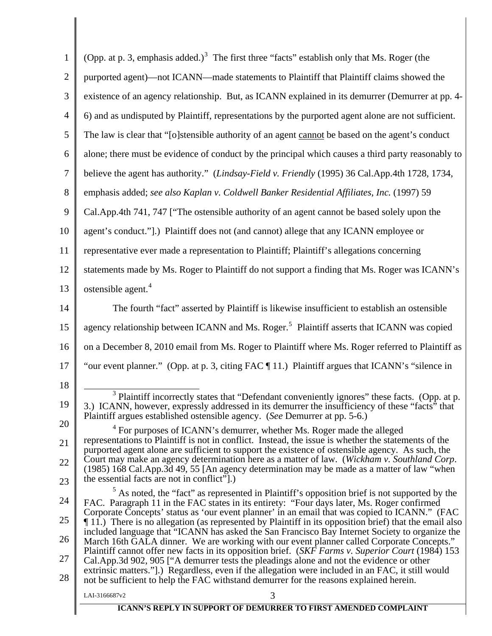<span id="page-6-3"></span><span id="page-6-2"></span><span id="page-6-1"></span><span id="page-6-0"></span>

| 1              | (Opp. at p. 3, emphasis added.) <sup>3</sup> The first three "facts" establish only that Ms. Roger (the                                                                                                                                                                                   |
|----------------|-------------------------------------------------------------------------------------------------------------------------------------------------------------------------------------------------------------------------------------------------------------------------------------------|
| $\overline{2}$ | purported agent)—not ICANN—made statements to Plaintiff that Plaintiff claims showed the                                                                                                                                                                                                  |
| 3              | existence of an agency relationship. But, as ICANN explained in its demurrer (Demurrer at pp. 4-                                                                                                                                                                                          |
| 4              | 6) and as undisputed by Plaintiff, representations by the purported agent alone are not sufficient.                                                                                                                                                                                       |
| 5              | The law is clear that "[o]stensible authority of an agent cannot be based on the agent's conduct                                                                                                                                                                                          |
| 6              | alone; there must be evidence of conduct by the principal which causes a third party reasonably to                                                                                                                                                                                        |
| 7              | believe the agent has authority." (Lindsay-Field v. Friendly (1995) 36 Cal.App.4th 1728, 1734,                                                                                                                                                                                            |
| 8              | emphasis added; see also Kaplan v. Coldwell Banker Residential Affiliates, Inc. (1997) 59                                                                                                                                                                                                 |
| 9              | Cal.App.4th 741, 747 ["The ostensible authority of an agent cannot be based solely upon the                                                                                                                                                                                               |
| 10             | agent's conduct."].) Plaintiff does not (and cannot) allege that any ICANN employee or                                                                                                                                                                                                    |
| 11             | representative ever made a representation to Plaintiff; Plaintiff's allegations concerning                                                                                                                                                                                                |
| 12             | statements made by Ms. Roger to Plaintiff do not support a finding that Ms. Roger was ICANN's                                                                                                                                                                                             |
| 13             | ostensible agent. <sup>4</sup>                                                                                                                                                                                                                                                            |
| 14             | The fourth "fact" asserted by Plaintiff is likewise insufficient to establish an ostensible                                                                                                                                                                                               |
| 15             | agency relationship between ICANN and Ms. Roger. <sup>5</sup> Plaintiff asserts that ICANN was copied                                                                                                                                                                                     |
| 16             | on a December 8, 2010 email from Ms. Roger to Plaintiff where Ms. Roger referred to Plaintiff as                                                                                                                                                                                          |
| 17             | "our event planner." (Opp. at p. 3, citing FAC [11.) Plaintiff argues that ICANN's "silence in                                                                                                                                                                                            |
| 18             |                                                                                                                                                                                                                                                                                           |
| 19             | <sup>3</sup> Plaintiff incorrectly states that "Defendant conveniently ignores" these facts. (Opp. at p.<br>3.) ICANN, however, expressly addressed in its demurrer the insufficiency of these "facts" that<br>Plaintiff argues established ostensible agency. (See Demurrer at pp. 5-6.) |
| 20             | <sup>4</sup> For purposes of ICANN's demurrer, whether Ms. Roger made the alleged<br>representations to Plaintiff is not in conflict. Instead, the issue is whether the statements of the                                                                                                 |
| 21             | purported agent alone are sufficient to support the existence of ostensible agency. As such, the<br>Court may make an agency determination here as a matter of law. (Wickham v. Southland Corp.                                                                                           |
| 22             | (1985) 168 Cal. App. 3d 49, 55 [An agency determination may be made as a matter of law "when<br>the essential facts are not in conflict".)                                                                                                                                                |
| 23             | $5$ As noted, the "fact" as represented in Plaintiff's opposition brief is not supported by the                                                                                                                                                                                           |
| 24             | FAC. Paragraph 11 in the FAC states in its entirety: "Four days later, Ms. Roger confirmed<br>Corporate Concepts' status as 'our event planner' in an email that was copied to ICANN." (FAC                                                                                               |
| 25             | 11.) There is no allegation (as represented by Plaintiff in its opposition brief) that the email also<br>included language that "ICANN has asked the San Francisco Bay Internet Society to organize the                                                                                   |
| 26             | March 16th GALA dinner. We are working with our event planner called Corporate Concepts."<br>Plaintiff cannot offer new facts in its opposition brief. (SKF Farms v. Superior Court (1984) 153                                                                                            |
| 27<br>28       | Cal.App.3d 902, 905 ["A demurrer tests the pleadings alone and not the evidence or other<br>extrinsic matters."].) Regardless, even if the allegation were included in an FAC, it still would<br>not be sufficient to help the FAC withstand demurrer for the reasons explained herein.   |
|                | 3<br>LAI-3166687v2                                                                                                                                                                                                                                                                        |
|                | <b>ICANN'S REPLY IN SUPPORT OF DEMURRER TO FIRST AMENDED COMPLAINT</b>                                                                                                                                                                                                                    |

I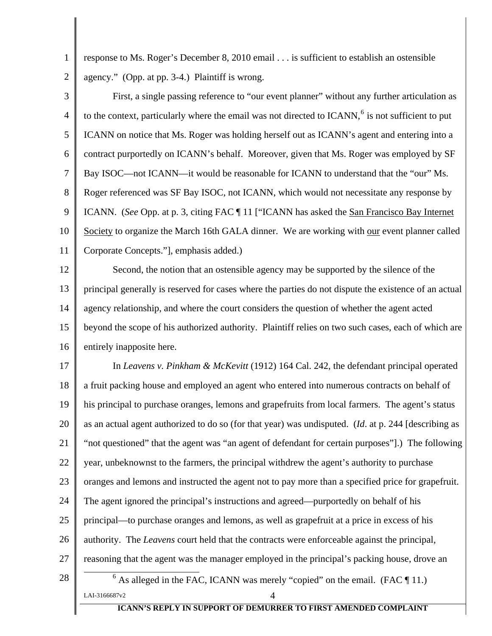response to Ms. Roger's December 8, 2010 email . . . is sufficient to establish an ostensible agency." (Opp. at pp. 3-4.) Plaintiff is wrong.

<span id="page-7-0"></span>1

2

3 4 5 6 7 8 9 10 11 First, a single passing reference to "our event planner" without any further articulation as to the context, particularly where the email was not directed to  $ICANN$ ,  $6$  is not sufficient to put ICANN on notice that Ms. Roger was holding herself out as ICANN's agent and entering into a contract purportedly on ICANN's behalf. Moreover, given that Ms. Roger was employed by SF Bay ISOC—not ICANN—it would be reasonable for ICANN to understand that the "our" Ms. Roger referenced was SF Bay ISOC, not ICANN, which would not necessitate any response by ICANN. (*See* Opp. at p. 3, citing FAC ¶ 11 ["ICANN has asked the San Francisco Bay Internet Society to organize the March 16th GALA dinner. We are working with our event planner called Corporate Concepts."], emphasis added.)

12 13 14 15 16 Second, the notion that an ostensible agency may be supported by the silence of the principal generally is reserved for cases where the parties do not dispute the existence of an actual agency relationship, and where the court considers the question of whether the agent acted beyond the scope of his authorized authority. Plaintiff relies on two such cases, each of which are entirely inapposite here.

<span id="page-7-1"></span>17 18 19 20 21 22 23 24 25 26 27 28 LAI-3166687v2  $4$ In *Leavens v. Pinkham & McKevitt* (1912) 164 Cal. 242, the defendant principal operated a fruit packing house and employed an agent who entered into numerous contracts on behalf of his principal to purchase oranges, lemons and grapefruits from local farmers. The agent's status as an actual agent authorized to do so (for that year) was undisputed. (*Id*. at p. 244 [describing as "not questioned" that the agent was "an agent of defendant for certain purposes"].) The following year, unbeknownst to the farmers, the principal withdrew the agent's authority to purchase oranges and lemons and instructed the agent not to pay more than a specified price for grapefruit. The agent ignored the principal's instructions and agreed—purportedly on behalf of his principal—to purchase oranges and lemons, as well as grapefruit at a price in excess of his authority. The *Leavens* court held that the contracts were enforceable against the principal, reasoning that the agent was the manager employed in the principal's packing house, drove an 6  $6$  As alleged in the FAC, ICANN was merely "copied" on the email. (FAC  $\P$  11.)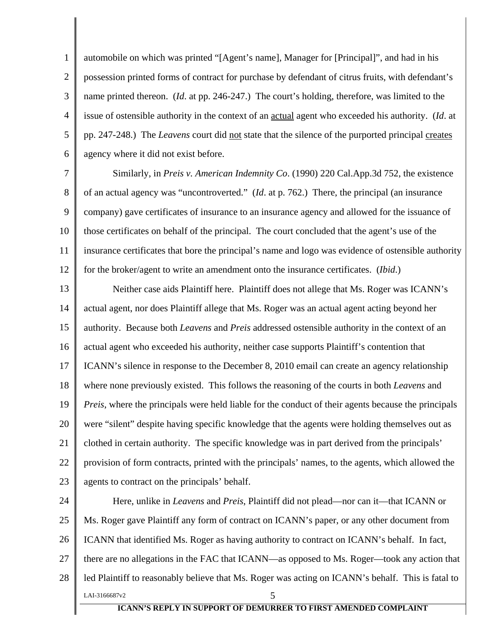<span id="page-8-0"></span>1 2 3 4 5 6 automobile on which was printed "[Agent's name], Manager for [Principal]", and had in his possession printed forms of contract for purchase by defendant of citrus fruits, with defendant's name printed thereon. (*Id*. at pp. 246-247.) The court's holding, therefore, was limited to the issue of ostensible authority in the context of an actual agent who exceeded his authority. (*Id*. at pp. 247-248.) The *Leavens* court did not state that the silence of the purported principal creates agency where it did not exist before.

7 8 9 10 11 12 Similarly, in *Preis v. American Indemnity Co*. (1990) 220 Cal.App.3d 752, the existence of an actual agency was "uncontroverted." (*Id*. at p. 762.) There, the principal (an insurance company) gave certificates of insurance to an insurance agency and allowed for the issuance of those certificates on behalf of the principal. The court concluded that the agent's use of the insurance certificates that bore the principal's name and logo was evidence of ostensible authority for the broker/agent to write an amendment onto the insurance certificates. (*Ibid*.)

13 14 15 16 17 18 19 20 21 22 23 Neither case aids Plaintiff here. Plaintiff does not allege that Ms. Roger was ICANN's actual agent, nor does Plaintiff allege that Ms. Roger was an actual agent acting beyond her authority. Because both *Leavens* and *Preis* addressed ostensible authority in the context of an actual agent who exceeded his authority, neither case supports Plaintiff's contention that ICANN's silence in response to the December 8, 2010 email can create an agency relationship where none previously existed. This follows the reasoning of the courts in both *Leavens* and *Preis*, where the principals were held liable for the conduct of their agents because the principals were "silent" despite having specific knowledge that the agents were holding themselves out as clothed in certain authority. The specific knowledge was in part derived from the principals' provision of form contracts, printed with the principals' names, to the agents, which allowed the agents to contract on the principals' behalf.

24 25 26 27 28  $LAI-3166687v2$  5 Here, unlike in *Leavens* and *Preis*, Plaintiff did not plead—nor can it—that ICANN or Ms. Roger gave Plaintiff any form of contract on ICANN's paper, or any other document from ICANN that identified Ms. Roger as having authority to contract on ICANN's behalf. In fact, there are no allegations in the FAC that ICANN—as opposed to Ms. Roger—took any action that led Plaintiff to reasonably believe that Ms. Roger was acting on ICANN's behalf. This is fatal to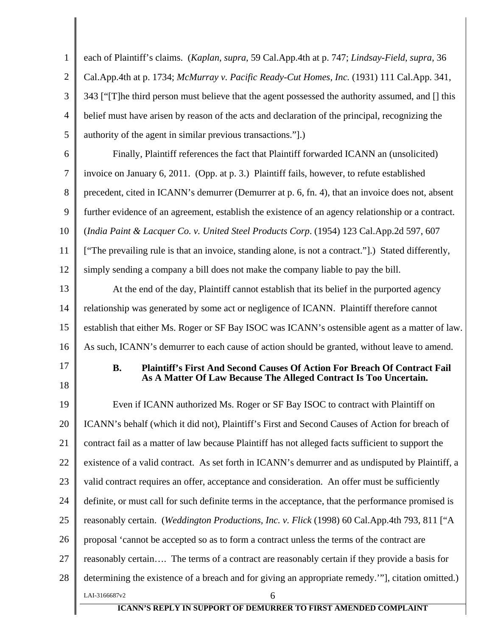<span id="page-9-0"></span>

| 1              | each of Plaintiff's claims. (Kaplan, supra, 59 Cal.App.4th at p. 747; Lindsay-Field, supra, 36       |
|----------------|------------------------------------------------------------------------------------------------------|
| $\overline{2}$ | Cal.App.4th at p. 1734; McMurray v. Pacific Ready-Cut Homes, Inc. (1931) 111 Cal.App. 341,           |
| 3              | 343 ["T]he third person must believe that the agent possessed the authority assumed, and [] this     |
| 4              | belief must have arisen by reason of the acts and declaration of the principal, recognizing the      |
| 5              | authority of the agent in similar previous transactions.".)                                          |
| 6              | Finally, Plaintiff references the fact that Plaintiff forwarded ICANN an (unsolicited)               |
| 7              | invoice on January 6, 2011. (Opp. at p. 3.) Plaintiff fails, however, to refute established          |
| 8              | precedent, cited in ICANN's demurrer (Demurrer at p. 6, fn. 4), that an invoice does not, absent     |
| 9              | further evidence of an agreement, establish the existence of an agency relationship or a contract.   |
| 10             | (India Paint & Lacquer Co. v. United Steel Products Corp. (1954) 123 Cal.App.2d 597, 607             |
| 11             | ["The prevailing rule is that an invoice, standing alone, is not a contract."].) Stated differently, |
| 12             | simply sending a company a bill does not make the company liable to pay the bill.                    |
| 13             | At the end of the day, Plaintiff cannot establish that its belief in the purported agency            |
| 14             | relationship was generated by some act or negligence of ICANN. Plaintiff therefore cannot            |
| 15             | establish that either Ms. Roger or SF Bay ISOC was ICANN's ostensible agent as a matter of law.      |
| 16             | As such, ICANN's demurrer to each cause of action should be granted, without leave to amend.         |
| 17             | <b>B.</b><br><b>Plaintiff's First And Second Causes Of Action For Breach Of Contract Fail</b>        |
| 18             | As A Matter Of Law Because The Alleged Contract Is Too Uncertain.                                    |
| 19             | Even if ICANN authorized Ms. Roger or SF Bay ISOC to contract with Plaintiff on                      |
| 20             | ICANN's behalf (which it did not), Plaintiff's First and Second Causes of Action for breach of       |
| 21             | contract fail as a matter of law because Plaintiff has not alleged facts sufficient to support the   |
| 22             | existence of a valid contract. As set forth in ICANN's demurrer and as undisputed by Plaintiff, a    |
| 23             | valid contract requires an offer, acceptance and consideration. An offer must be sufficiently        |
| 24             | definite, or must call for such definite terms in the acceptance, that the performance promised is   |
| 25             | reasonably certain. (Weddington Productions, Inc. v. Flick (1998) 60 Cal.App.4th 793, 811 ["A        |
| 26             | proposal 'cannot be accepted so as to form a contract unless the terms of the contract are           |
| 27             | reasonably certain The terms of a contract are reasonably certain if they provide a basis for        |
| 28             | determining the existence of a breach and for giving an appropriate remedy.""], citation omitted.)   |
|                | LAI-3166687v2<br>6                                                                                   |
|                | <b>ICANN'S REPLY IN SUPPORT OF DEMURRER TO FIRST AMENDED COMPLAINT</b>                               |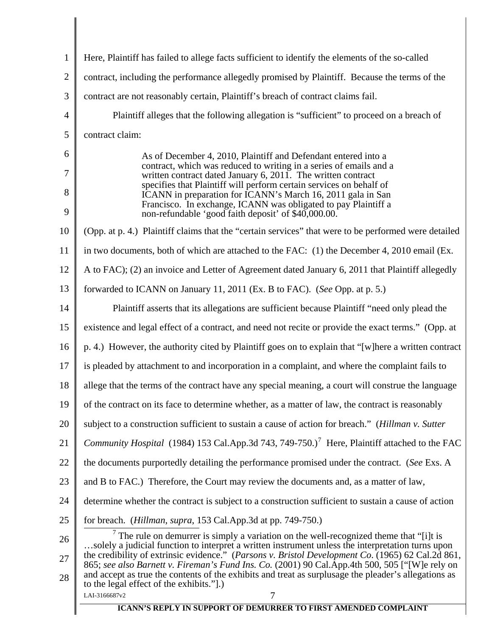<span id="page-10-1"></span><span id="page-10-0"></span>

| $\mathbf{1}$   | Here, Plaintiff has failed to allege facts sufficient to identify the elements of the so-called                                                                                                          |  |  |
|----------------|----------------------------------------------------------------------------------------------------------------------------------------------------------------------------------------------------------|--|--|
| $\overline{2}$ | contract, including the performance allegedly promised by Plaintiff. Because the terms of the                                                                                                            |  |  |
| 3              | contract are not reasonably certain, Plaintiff's breach of contract claims fail.                                                                                                                         |  |  |
| $\overline{4}$ | Plaintiff alleges that the following allegation is "sufficient" to proceed on a breach of                                                                                                                |  |  |
| 5              | contract claim:                                                                                                                                                                                          |  |  |
| 6              | As of December 4, 2010, Plaintiff and Defendant entered into a                                                                                                                                           |  |  |
| 7              | contract, which was reduced to writing in a series of emails and a<br>written contract dated January 6, 2011. The written contract                                                                       |  |  |
| 8              | specifies that Plaintiff will perform certain services on behalf of<br>ICANN in preparation for ICANN's March 16, 2011 gala in San                                                                       |  |  |
| 9              | Francisco. In exchange, ICANN was obligated to pay Plaintiff a<br>non-refundable 'good faith deposit' of \$40,000.00.                                                                                    |  |  |
| 10             | (Opp. at p. 4.) Plaintiff claims that the "certain services" that were to be performed were detailed                                                                                                     |  |  |
| 11             | in two documents, both of which are attached to the FAC: (1) the December 4, 2010 email (Ex.                                                                                                             |  |  |
| 12             | A to FAC); (2) an invoice and Letter of Agreement dated January 6, 2011 that Plaintiff allegedly                                                                                                         |  |  |
| 13             | forwarded to ICANN on January 11, 2011 (Ex. B to FAC). (See Opp. at p. 5.)                                                                                                                               |  |  |
| 14             | Plaintiff asserts that its allegations are sufficient because Plaintiff "need only plead the                                                                                                             |  |  |
| 15             | existence and legal effect of a contract, and need not recite or provide the exact terms." (Opp. at                                                                                                      |  |  |
| 16             | p. 4.) However, the authority cited by Plaintiff goes on to explain that "[w] here a written contract                                                                                                    |  |  |
| 17             | is pleaded by attachment to and incorporation in a complaint, and where the complaint fails to                                                                                                           |  |  |
| 18             | allege that the terms of the contract have any special meaning, a court will construe the language                                                                                                       |  |  |
| 19             | of the contract on its face to determine whether, as a matter of law, the contract is reasonably                                                                                                         |  |  |
| 20             | subject to a construction sufficient to sustain a cause of action for breach." (Hillman v. Sutter                                                                                                        |  |  |
| 21             | <i>Community Hospital</i> (1984) 153 Cal.App.3d 743, 749-750.) <sup>7</sup> Here, Plaintiff attached to the FAC                                                                                          |  |  |
| 22             | the documents purportedly detailing the performance promised under the contract. (See Exs. A                                                                                                             |  |  |
| 23             | and B to FAC.) Therefore, the Court may review the documents and, as a matter of law,                                                                                                                    |  |  |
| 24             | determine whether the contract is subject to a construction sufficient to sustain a cause of action                                                                                                      |  |  |
| 25             | for breach. ( <i>Hillman, supra, 153 Cal.App.3d at pp. 749-750.</i> )                                                                                                                                    |  |  |
| 26             | $\frac{7}{7}$ The rule on demurrer is simply a variation on the well-recognized theme that "[i]t is<br>solely a judicial function to interpret a written instrument unless the interpretation turns upon |  |  |
| 27             | the credibility of extrinsic evidence." (Parsons v. Bristol Development Co. (1965) 62 Cal.2d 861,<br>865; see also Barnett v. Fireman's Fund Ins. Co. (2001) 90 Cal.App.4th 500, 505 ["[W]e rely on      |  |  |
| 28             | and accept as true the contents of the exhibits and treat as surplusage the pleader's allegations as<br>to the legal effect of the exhibits.".)                                                          |  |  |
|                | LAI-3166687v2<br>7<br><b>ICANN'S REPLY IN SUPPORT OF DEMURRER TO FIRST AMENDED COMPLAINT</b>                                                                                                             |  |  |
|                |                                                                                                                                                                                                          |  |  |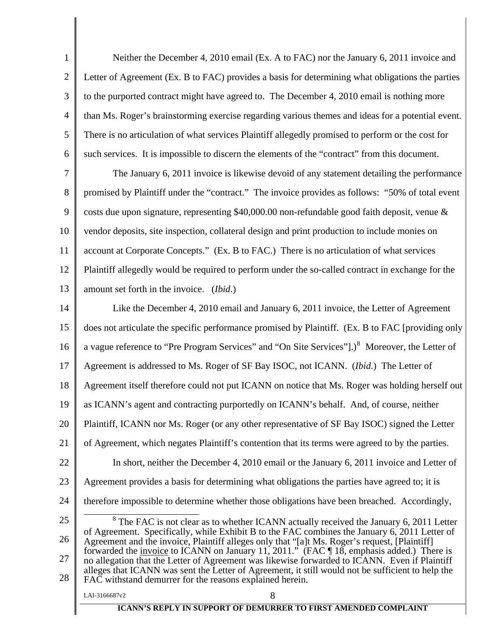<span id="page-11-0"></span>

| $\mathbf{1}$   | Neither the December 4, 2010 email (Ex. A to FAC) nor the January 6, 2011 invoice and                                                                                                            |  |  |
|----------------|--------------------------------------------------------------------------------------------------------------------------------------------------------------------------------------------------|--|--|
| $\overline{2}$ | Letter of Agreement (Ex. B to FAC) provides a basis for determining what obligations the parties                                                                                                 |  |  |
| $\mathfrak{Z}$ | to the purported contract might have agreed to. The December 4, 2010 email is nothing more                                                                                                       |  |  |
| $\overline{4}$ | than Ms. Roger's brainstorming exercise regarding various themes and ideas for a potential event.                                                                                                |  |  |
| $\mathfrak{S}$ | There is no articulation of what services Plaintiff allegedly promised to perform or the cost for                                                                                                |  |  |
| 6              | such services. It is impossible to discern the elements of the "contract" from this document.                                                                                                    |  |  |
| $\overline{7}$ | The January 6, 2011 invoice is likewise devoid of any statement detailing the performance                                                                                                        |  |  |
| 8              | promised by Plaintiff under the "contract." The invoice provides as follows: "50% of total event                                                                                                 |  |  |
| $\overline{9}$ | costs due upon signature, representing \$40,000.00 non-refundable good faith deposit, venue $\&$                                                                                                 |  |  |
| 10             | vendor deposits, site inspection, collateral design and print production to include monies on                                                                                                    |  |  |
| 11             | account at Corporate Concepts." (Ex. B to FAC.) There is no articulation of what services                                                                                                        |  |  |
| 12             | Plaintiff allegedly would be required to perform under the so-called contract in exchange for the                                                                                                |  |  |
| 13             | amount set forth in the invoice. (Ibid.)                                                                                                                                                         |  |  |
| 14             | Like the December 4, 2010 email and January 6, 2011 invoice, the Letter of Agreement                                                                                                             |  |  |
| 15             | does not articulate the specific performance promised by Plaintiff. (Ex. B to FAC [providing only                                                                                                |  |  |
| 16             | a vague reference to "Pre Program Services" and "On Site Services"].) <sup>8</sup> Moreover, the Letter of                                                                                       |  |  |
| 17             | Agreement is addressed to Ms. Roger of SF Bay ISOC, not ICANN. (Ibid.) The Letter of                                                                                                             |  |  |
| 18             | Agreement itself therefore could not put ICANN on notice that Ms. Roger was holding herself out                                                                                                  |  |  |
| 19             | as ICANN's agent and contracting purportedly on ICANN's behalf. And, of course, neither                                                                                                          |  |  |
| 20             | Plaintiff, ICANN nor Ms. Roger (or any other representative of SF Bay ISOC) signed the Letter                                                                                                    |  |  |
| 21             | of Agreement, which negates Plaintiff's contention that its terms were agreed to by the parties.                                                                                                 |  |  |
| 22             | In short, neither the December 4, 2010 email or the January 6, 2011 invoice and Letter of                                                                                                        |  |  |
| 23             | Agreement provides a basis for determining what obligations the parties have agreed to; it is                                                                                                    |  |  |
| 24             | therefore impossible to determine whether those obligations have been breached. Accordingly,                                                                                                     |  |  |
| 25             | $8$ The FAC is not clear as to whether ICANN actually received the January 6, 2011 Letter                                                                                                        |  |  |
| 26             | of Agreement. Specifically, while Exhibit B to the FAC combines the January 6, 2011 Letter of<br>Agreement and the invoice, Plaintiff alleges only that "[a]t Ms. Roger's request, [Plaintiff]   |  |  |
| 27             | forwarded the <u>invoice</u> to ICANN on January 11, 2011." (FAC ¶18, emphasis added.) There is<br>no allegation that the Letter of Agreement was likewise forwarded to ICANN. Even if Plaintiff |  |  |
| 28             | alleges that ICANN was sent the Letter of Agreement, it still would not be sufficient to help the<br>FAC withstand demurrer for the reasons explained herein.                                    |  |  |
|                | 8<br>LAI-3166687v2                                                                                                                                                                               |  |  |
|                | <b>ICANN'S REPLY IN SUPPORT OF DEMURRER TO FIRST AMENDED COMPLAINT</b>                                                                                                                           |  |  |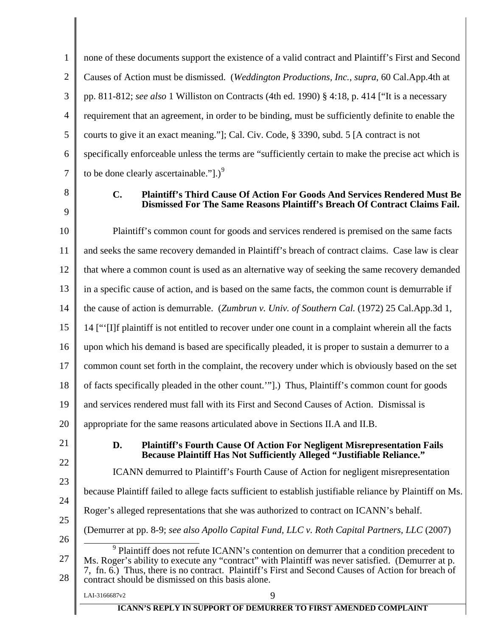1 2 3 4 5 6 7 none of these documents support the existence of a valid contract and Plaintiff's First and Second Causes of Action must be dismissed. (*Weddington Productions, Inc.*, *supra*, 60 Cal.App.4th at pp. 811-812; *see also* 1 Williston on Contracts (4th ed. 1990) § 4:18, p. 414 ["It is a necessary requirement that an agreement, in order to be binding, must be sufficiently definite to enable the courts to give it an exact meaning."]; Cal. Civ. Code, § 3390, subd. 5 [A contract is not specifically enforceable unless the terms are "sufficiently certain to make the precise act which is to be done clearly ascertainable.".)<sup>[9](#page-12-0)</sup>

8

9

## **C. Plaintiff's Third Cause Of Action For Goods And Services Rendered Must Be Dismissed For The Same Reasons Plaintiff's Breach Of Contract Claims Fail.**

10 11 12 13 14 15 16 17 18 19 20 21 22 23 24 25 26 27 28  $\overline{a}$ Plaintiff's common count for goods and services rendered is premised on the same facts and seeks the same recovery demanded in Plaintiff's breach of contract claims. Case law is clear that where a common count is used as an alternative way of seeking the same recovery demanded in a specific cause of action, and is based on the same facts, the common count is demurrable if the cause of action is demurrable. (*Zumbrun v. Univ. of Southern Cal.* (1972) 25 Cal.App.3d 1, 14 ["'[I]f plaintiff is not entitled to recover under one count in a complaint wherein all the facts upon which his demand is based are specifically pleaded, it is proper to sustain a demurrer to a common count set forth in the complaint, the recovery under which is obviously based on the set of facts specifically pleaded in the other count.'"].) Thus, Plaintiff's common count for goods and services rendered must fall with its First and Second Causes of Action. Dismissal is appropriate for the same reasons articulated above in Sections II.A and II.B. **D. Plaintiff's Fourth Cause Of Action For Negligent Misrepresentation Fails Because Plaintiff Has Not Sufficiently Alleged "Justifiable Reliance."**  ICANN demurred to Plaintiff's Fourth Cause of Action for negligent misrepresentation because Plaintiff failed to allege facts sufficient to establish justifiable reliance by Plaintiff on Ms. Roger's alleged representations that she was authorized to contract on ICANN's behalf. (Demurrer at pp. 8-9; *see also Apollo Capital Fund, LLC v. Roth Capital Partners, LLC* (2007) <sup>9</sup> Plaintiff does not refute ICANN's contention on demurrer that a condition precedent to Ms. Roger's ability to execute any "contract" with Plaintiff was never satisfied. (Demurrer at p. 7, fn. 6.) Thus, there is no contract. Plaintiff's First and Second Causes of Action for breach of contract should be dismissed on this basis alone.

**ICANN'S REPLY IN SUPPORT OF DEMURRER TO FIRST AMENDED COMPLAINT**

<span id="page-12-0"></span> $LAI-3166687v2$  9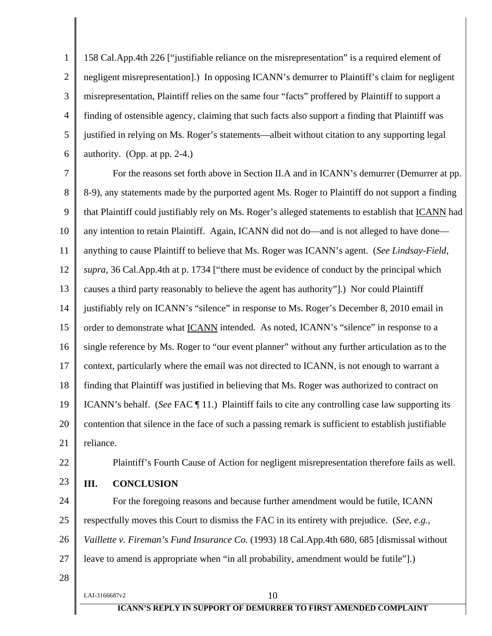<span id="page-13-0"></span>1 2 3 4 5 6 158 Cal.App.4th 226 ["justifiable reliance on the misrepresentation" is a required element of negligent misrepresentation].) In opposing ICANN's demurrer to Plaintiff's claim for negligent misrepresentation, Plaintiff relies on the same four "facts" proffered by Plaintiff to support a finding of ostensible agency, claiming that such facts also support a finding that Plaintiff was justified in relying on Ms. Roger's statements—albeit without citation to any supporting legal authority. (Opp. at pp. 2-4.)

7 8 9 10 11 12 13 14 15 16 17 18 19 20 21 For the reasons set forth above in Section II.A and in ICANN's demurrer (Demurrer at pp. 8-9), any statements made by the purported agent Ms. Roger to Plaintiff do not support a finding that Plaintiff could justifiably rely on Ms. Roger's alleged statements to establish that ICANN had any intention to retain Plaintiff. Again, ICANN did not do—and is not alleged to have done anything to cause Plaintiff to believe that Ms. Roger was ICANN's agent. (*See Lindsay-Field*, *supra*, 36 Cal.App.4th at p. 1734 ["there must be evidence of conduct by the principal which causes a third party reasonably to believe the agent has authority"].) Nor could Plaintiff justifiably rely on ICANN's "silence" in response to Ms. Roger's December 8, 2010 email in order to demonstrate what ICANN intended. As noted, ICANN's "silence" in response to a single reference by Ms. Roger to "our event planner" without any further articulation as to the context, particularly where the email was not directed to ICANN, is not enough to warrant a finding that Plaintiff was justified in believing that Ms. Roger was authorized to contract on ICANN's behalf. (*See* FAC ¶ 11.) Plaintiff fails to cite any controlling case law supporting its contention that silence in the face of such a passing remark is sufficient to establish justifiable reliance.

22

Plaintiff's Fourth Cause of Action for negligent misrepresentation therefore fails as well.

23

## **III. CONCLUSION**

24 25 26 27 For the foregoing reasons and because further amendment would be futile, ICANN respectfully moves this Court to dismiss the FAC in its entirety with prejudice. (*See, e.g., Vaillette v. Fireman's Fund Insurance Co.* (1993) 18 Cal.App.4th 680, 685 [dismissal without leave to amend is appropriate when "in all probability, amendment would be futile"].)

28